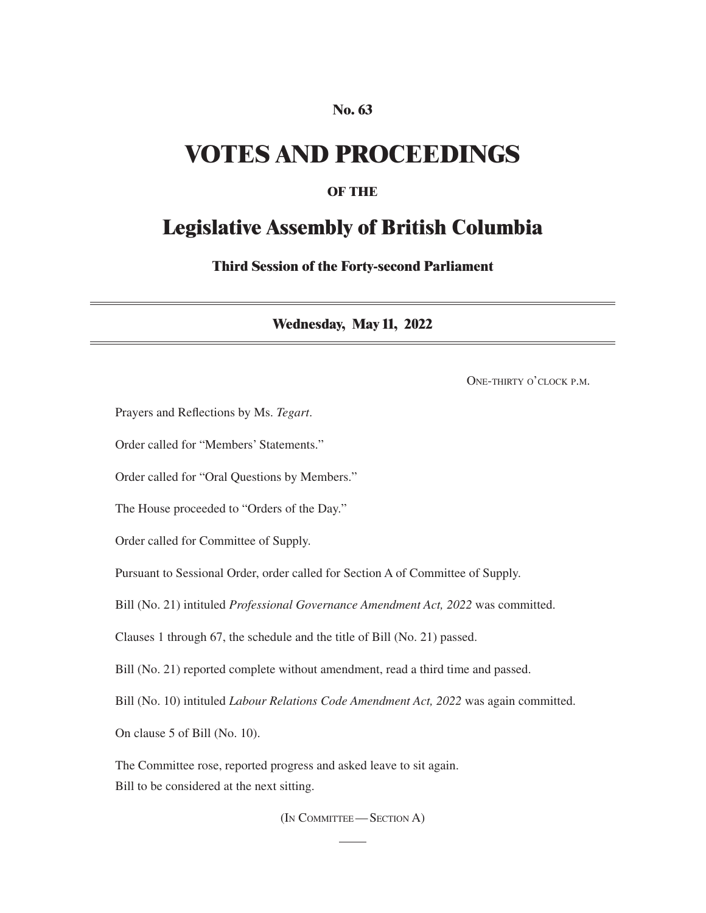#### **No. 63**

## **VOTES AND PROCEEDINGS**

#### **OF THE**

### **Legislative Assembly of British Columbia**

**Third Session of the Forty-second Parliament**

**Wednesday, May 11, 2022**

One-thirty o'clock p.m.

Prayers and Reflections by Ms. *Tegart*.

Order called for "Members' Statements."

Order called for "Oral Questions by Members."

The House proceeded to "Orders of the Day."

Order called for Committee of Supply.

Pursuant to Sessional Order, order called for Section A of Committee of Supply.

Bill (No. 21) intituled *Professional Governance Amendment Act, 2022* was committed.

Clauses 1 through 67, the schedule and the title of Bill (No. 21) passed.

Bill (No. 21) reported complete without amendment, read a third time and passed.

Bill (No. 10) intituled *Labour Relations Code Amendment Act, 2022* was again committed.

On clause 5 of Bill (No. 10).

The Committee rose, reported progress and asked leave to sit again. Bill to be considered at the next sitting.

(In Committee—Section A)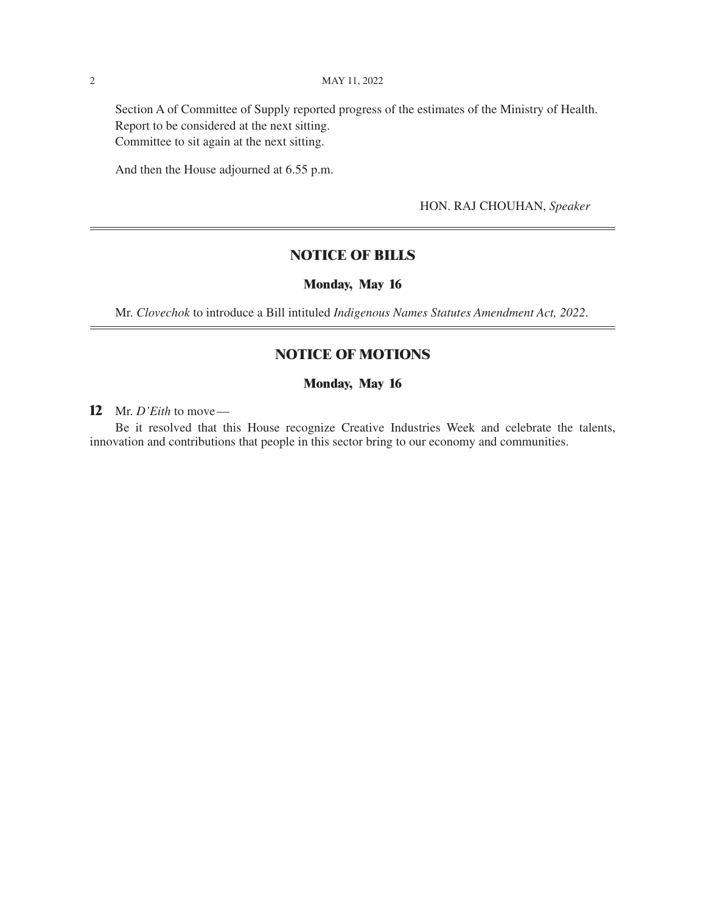Section A of Committee of Supply reported progress of the estimates of the Ministry of Health. Report to be considered at the next sitting. Committee to sit again at the next sitting.

And then the House adjourned at 6.55 p.m.

HON. RAJ CHOUHAN, *Speaker*

#### **NOTICE OF BILLS**

#### **Monday, May 16**

Mr. *Clovechok* to introduce a Bill intituled *Indigenous Names Statutes Amendment Act, 2022*.

#### **NOTICE OF MOTIONS**

#### **Monday, May 16**

**12** Mr. *D'Eith* to move—

Be it resolved that this House recognize Creative Industries Week and celebrate the talents, innovation and contributions that people in this sector bring to our economy and communities.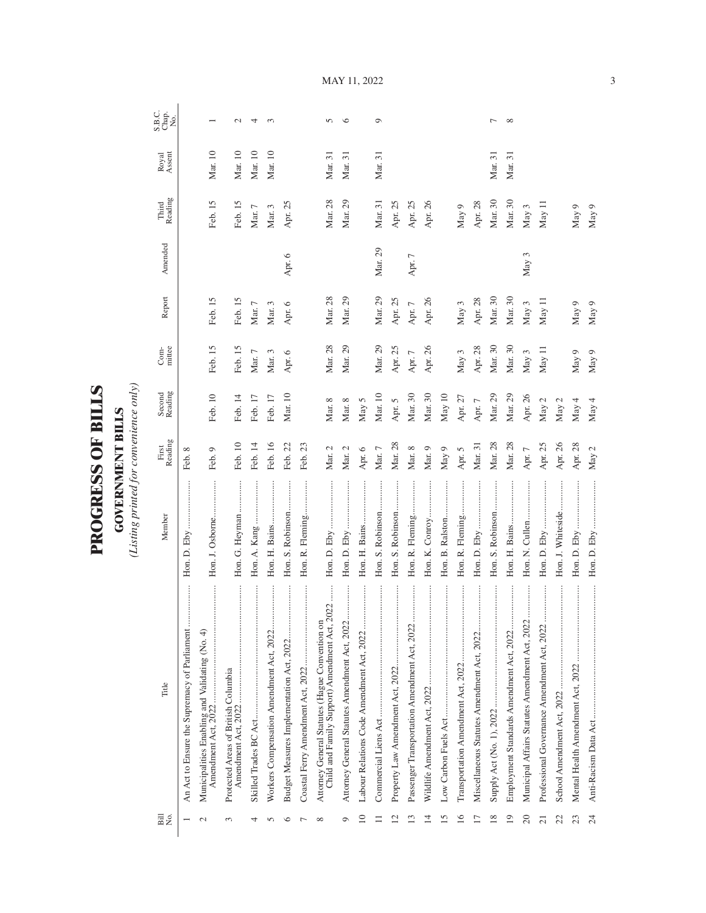| )<br>ו       |
|--------------|
| $\mathbf{I}$ |
| ſ            |
|              |
|              |
|              |
| くくしょ         |
| r<br>C       |
|              |
|              |
|              |
|              |

**GOVERNMENT BILLS**<br>(Listing printed for convenience only) *(Listing printed for convenience only)*

**GOVERNMENT BILLS**

| Bill<br>No.              | Title                                                                                           | Member                                       | First<br>Reading | Second<br>Reading | mittee<br>$Com-$ | Report     | Amended | Reading<br>Third | Royal<br>Assent | S.B.C.<br>S.B.C.<br>No. |
|--------------------------|-------------------------------------------------------------------------------------------------|----------------------------------------------|------------------|-------------------|------------------|------------|---------|------------------|-----------------|-------------------------|
|                          | An Act to Ensure the Supremacy of Parliament                                                    |                                              | Feb. 8           |                   |                  |            |         |                  |                 |                         |
|                          | Municipalities Enabling and Validating (No. 4)<br>Amendment Act, 2022                           | Hon. J. Osborne                              | Feb. 9           | Feb. 10           | Feb. 15          | Feb. 15    |         | Feb. 15          | Mar. 10         |                         |
| 3                        | Protected Areas of British Columbia                                                             | Hon. G. Heyman                               | Feb. 10          | Feb. 14           | Feb. 15          | Feb. 15    |         | Feb. 15          | Mar. 10         | $\mathcal{L}$           |
|                          | .                                                                                               |                                              | Feb. 14          | Feb. 17           | Mar. $7$         | Mar. $7\,$ |         | $\rm{Mar.}$ $7$  | Mar. 10         | 4                       |
|                          | Workers Compensation Amendment Act, 2022                                                        | Hon. H. Bains                                | Feb. 16          | Feb. 17           | Mar. 3           | Mar. 3     |         | Mar. 3           | Mar. 10         | 3                       |
|                          | Budget Measures Implementation Act, 2022                                                        | Hon. S. Robinson                             | Feb. 22          | Mar. 10           | Apr. 6           | Apr. 6     | Apr. 6  | Apr. 25          |                 |                         |
|                          |                                                                                                 | Hon. R. Fleming                              | Feb. 23          |                   |                  |            |         |                  |                 |                         |
|                          | Child and Family Support) Amendment Act, 2022<br>Attorney General Statutes (Hague Convention on |                                              | Mar. 2           | Mar. 8            | Mar. 28          | Mar. 28    |         | Mar. 28          | Mar. 31         | $\sqrt{2}$              |
| O                        | <br>Attorney General Statutes Amendment Act, 2022.                                              |                                              | Mar. $2$         | Mar. 8            | Mar. 29          | Mar. 29    |         | Mar. 29          | Mar. 31         | $\circ$                 |
| $\subseteq$              | <br>Labour Relations Code Amendment Act, 2022                                                   |                                              | Apr. 6           | May 5             |                  |            |         |                  |                 |                         |
|                          |                                                                                                 | Hon. S. Robinson                             | Mar. 7           | Mar. 10           | Mar. 29          | Mar. 29    | Mar. 29 | Mar. 31          | Mar. 31         | $\circ$                 |
| $\overline{\mathcal{C}}$ |                                                                                                 | :<br>:<br>:<br>:<br>Hon. S. Robinson         | Mar. 28          | Apr. 5            | Apr. 25          | Apr. 25    |         | Apr. 25          |                 |                         |
|                          |                                                                                                 | Hon. R. Fleming                              | Mar. 8           | Mar. 30           | Apr. $7$         | Apr. $7$   | Apr. 7  | Apr. 25          |                 |                         |
| 4                        |                                                                                                 | .<br>.<br>.<br>.<br>.<br>.<br>Hon. K. Conroy | Mar. 9           | Mar. 30           | Apr. 26          | Apr. 26    |         | Apr. 26          |                 |                         |
| 5                        |                                                                                                 | Hon. B. Ralston                              | May 9            | May 10            |                  |            |         |                  |                 |                         |
| $\overline{16}$          |                                                                                                 | Hon. R. Fleming                              | Apr. 5           | Apr. 27           | May 3            | May 3      |         | May 9            |                 |                         |
| $\overline{17}$          |                                                                                                 |                                              | Mar. 31          | Apr. $7$          | Apr. 28          | Apr. 28    |         | Apr. 28          |                 |                         |
| 18                       |                                                                                                 | Hon. S. Robinson                             | Mar. 28          | Mar. 29           | Mar. 30          | Mar. 30    |         | Mar. 30          | Mar. 31         | $\overline{ }$          |
| 19                       | <br>Employment Standards Amendment Act, 2022                                                    |                                              | Mar. 28          | Mar. 29           | Mar. 30          | Mar. 30    |         | Mar. 30          | Mar. 31         | $\infty$                |
| 20                       | <br>Municipal Affairs Statutes Amendment Act, 2022                                              |                                              | Apr. $7$         | Apr. 26           | May 3            | May 3      | May 3   | May 3            |                 |                         |
| 21                       | <br>Professional Governance Amendment Act, 2022                                                 | :<br>:<br>:<br>:<br>Hon. D. Eby              | Apr. 25          | May 2             | May 11           | May 11     |         | May 11           |                 |                         |
| 22                       |                                                                                                 | Hon. J. Whiteside                            | Apr. 26          | May $2$           |                  |            |         |                  |                 |                         |
| 23                       |                                                                                                 |                                              | Apr. 28          | May 4             | May 9            | May 9      |         | May 9            |                 |                         |
| 24                       |                                                                                                 |                                              | May 2            | May 4             | May 9            | May $9$    |         | May 9            |                 |                         |

MAY 11, 2022

3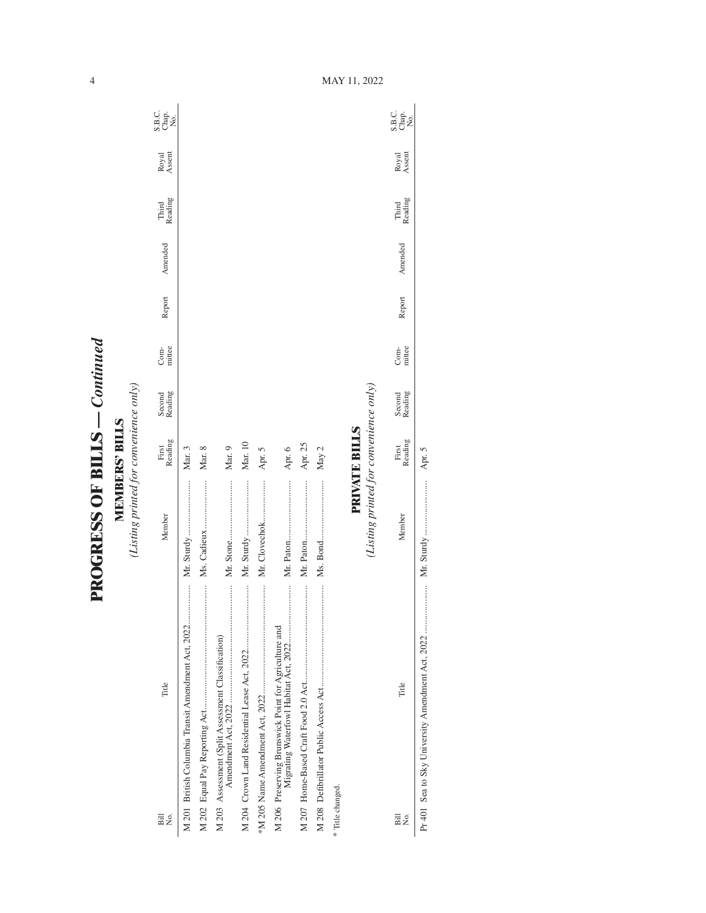**PROGRESS OF BILLS - Continued PROGRESS OF BILLS** *— Continued*

**MEMBERS' BILLS**<br>(Listing printed for convenience only) *(Listing printed for convenience only)* **MEMBERS' BILLS**

| Bill<br>Σó,      | Title                                              | Member                                 | First<br>Reading | Second<br>Reading | mittee<br>Com- | Report | Amended | Third<br>Reading | Royal<br>Assent | C<br>Sag<br>Sag   |
|------------------|----------------------------------------------------|----------------------------------------|------------------|-------------------|----------------|--------|---------|------------------|-----------------|-------------------|
|                  | M 201 British Columbia Transit Amendment Act, 2022 | Mr. Sturdy                             | Mar. 3           |                   |                |        |         |                  |                 |                   |
|                  |                                                    | Ms. Cadieux                            | Mar. 8           |                   |                |        |         |                  |                 |                   |
|                  | M 203 Assessment (Split Assessment Classification) |                                        | Mar. 9           |                   |                |        |         |                  |                 |                   |
|                  |                                                    | Mr. Sturdy                             | Mar. 10          |                   |                |        |         |                  |                 |                   |
|                  |                                                    |                                        | Apr. 5           |                   |                |        |         |                  |                 |                   |
|                  |                                                    |                                        | Apr. 6           |                   |                |        |         |                  |                 |                   |
|                  |                                                    |                                        | Apr. 25          |                   |                |        |         |                  |                 |                   |
|                  |                                                    |                                        | May 2            |                   |                |        |         |                  |                 |                   |
| * Title changed. |                                                    |                                        |                  |                   |                |        |         |                  |                 |                   |
|                  |                                                    |                                        | PRIVATE BILLS    |                   |                |        |         |                  |                 |                   |
|                  |                                                    | (Listing printed for convenience only) |                  |                   |                |        |         |                  |                 |                   |
| Bill<br>Σó       | Title                                              | Member                                 | Reading<br>First | Second<br>Reading | Com-<br>mittee | Report | Amended | Third<br>Reading | Royal<br>Assent | C<br>Sago<br>Sago |

Pr 401 Sea to Sky University Amendment Act, 2022 ..................... Mr. Sturdy ........................ Apr. 5

 $\overline{\phantom{a}}$ 

MAY 11, 2022